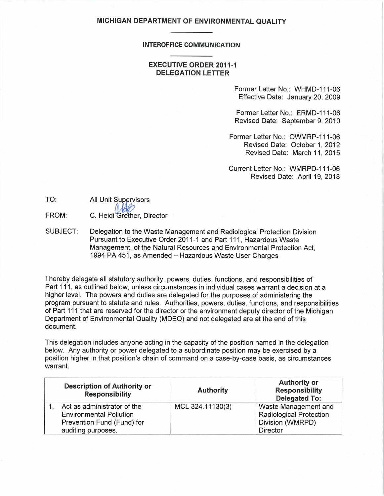### **MICHIGAN DEPARTMENT OF ENVIRONMENTAL QUALITY**

#### **INTEROFFICE COMMUNICATION**

### **EXECUTIVE ORDER 2011-1 DELEGATION LETTER**

Former Letter No.: WHMD-111-06 Effective Date: January 20, 2009

Former Letter No.: ERMD-111-06 Revised Date: September 9, 2010

Former Letter No.: OWMRP-111-06 Revised Date: October 1, 2012 Revised Date: March 11, 2015

Current Letter No.: WMRPD-111-06 Revised Date: April 19, 2018

| TO: | All Unit Supervisors |
|-----|----------------------|
|     |                      |

FROM: C. Heidi Grether, Director

SUBJECT: Delegation to the Waste Management and Radiological Protection Division Pursuant to Executive Order 2011-1 and Part 111, Hazardous Waste Management, of the Natural Resources and Environmental Protection Act, 1994 PA 451, as Amended- Hazardous Waste User Charges

I hereby delegate all statutory authority, powers, duties, functions, and responsibilities of Part 111, as outlined below, unless circumstances in individual cases warrant a decision at a higher level. The powers and duties are delegated for the purposes of administering the program pursuant to statute and rules. Authorities, powers, duties, functions, and responsibilities of Part 111 that are reserved for the director or the environment deputy director of the Michigan Department of Environmental Quality (MDEQ) and not delegated are at the end of this document.

This delegation includes anyone acting in the capacity of the position named in the delegation below. Any authority or power delegated to a subordinate position may be exercised by a position higher in that position's chain of command on a case-by-case basis, as circumstances warrant.

| <b>Description of Authority or</b><br><b>Responsibility</b> | <b>Authority</b> | <b>Authority or</b><br><b>Responsibility</b><br><b>Delegated To:</b> |
|-------------------------------------------------------------|------------------|----------------------------------------------------------------------|
| Act as administrator of the                                 | MCL 324.11130(3) | Waste Management and                                                 |
| <b>Environmental Pollution</b>                              |                  | <b>Radiological Protection</b>                                       |
| Prevention Fund (Fund) for                                  |                  | Division (WMRPD)                                                     |
| auditing purposes.                                          |                  | <b>Director</b>                                                      |